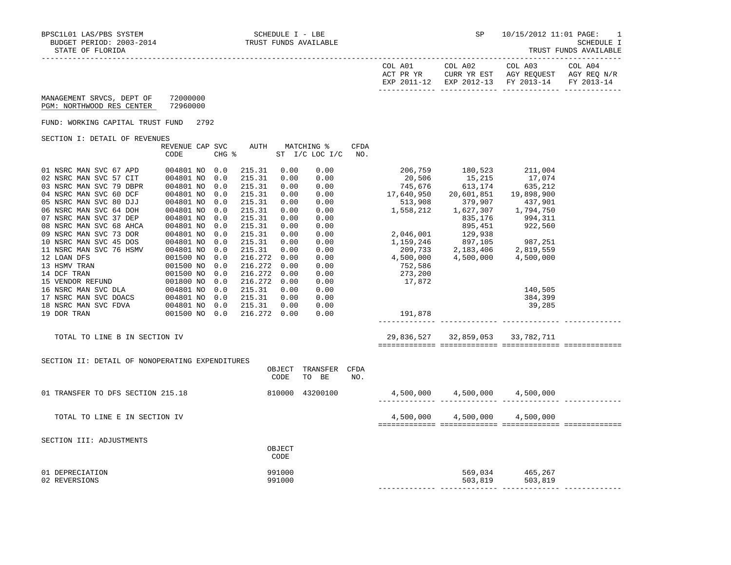| COL A01<br>ACT PR YR | COL A02<br>CURR YR EST            | COL A03<br>AGY REOUEST | COL A04<br>AGY REO N/R |
|----------------------|-----------------------------------|------------------------|------------------------|
| EXP 2011-12          | EXP 2012-13 FY 2013-14 FY 2013-14 |                        |                        |

 MANAGEMENT SRVCS, DEPT OF 72000000 PGM: NORTHWOOD RES CENTER 72960000

FUND: WORKING CAPITAL TRUST FUND 2792

SECTION I: DETAIL OF REVENUES

|                         | REVENUE CAP SVC |       | AUTH    |      | MATCHING %     | CFDA |            |            |            |
|-------------------------|-----------------|-------|---------|------|----------------|------|------------|------------|------------|
|                         | CODE            | CHG % |         |      | ST I/C LOC I/C | NO.  |            |            |            |
| 01 NSRC MAN SVC 67 APD  | 004801 NO       | 0.0   | 215.31  | 0.00 | 0.00           |      | 206,759    | 180,523    | 211,004    |
| 02 NSRC MAN SVC 57 CIT  | 004801 NO       | 0.0   | 215.31  | 0.00 | 0.00           |      | 20,506     | 15,215     | 17,074     |
|                         |                 |       |         |      |                |      |            |            |            |
| 03 NSRC MAN SVC 79 DBPR | 004801 NO       | 0.0   | 215.31  | 0.00 | 0.00           |      | 745,676    | 613,174    | 635,212    |
| 04 NSRC MAN SVC 60 DCF  | 004801 NO       | 0.0   | 215.31  | 0.00 | 0.00           |      | 17,640,950 | 20,601,851 | 19,898,900 |
| 05 NSRC MAN SVC 80 DJJ  | 004801 NO       | 0.0   | 215.31  | 0.00 | 0.00           |      | 513,908    | 379,907    | 437,901    |
| 06 NSRC MAN SVC 64 DOH  | 004801 NO       | 0.0   | 215.31  | 0.00 | 0.00           |      | 1,558,212  | 1,627,307  | 1,794,750  |
| 07 NSRC MAN SVC 37 DEP  | 004801 NO       | 0.0   | 215.31  | 0.00 | 0.00           |      |            | 835,176    | 994,311    |
| 08 NSRC MAN SVC 68 AHCA | 004801 NO       | 0.0   | 215.31  | 0.00 | 0.00           |      |            | 895,451    | 922,560    |
| 09 NSRC MAN SVC 73 DOR  | 004801 NO       | 0.0   | 215.31  | 0.00 | 0.00           |      | 2,046,001  | 129,938    |            |
| 10 NSRC MAN SVC 45 DOS  | 004801 NO       | 0.0   | 215.31  | 0.00 | 0.00           |      | 1,159,246  | 897,105    | 987,251    |
| 11 NSRC MAN SVC 76 HSMV | 004801 NO       | 0.0   | 215.31  | 0.00 | 0.00           |      | 209,733    | 2,183,406  | 2,819,559  |
| 12 LOAN DFS             | 001500 NO       | 0.0   | 216.272 | 0.00 | 0.00           |      | 4,500,000  | 4,500,000  | 4,500,000  |
| 13 HSMV TRAN            | 001500 NO       | 0.0   | 216.272 | 0.00 | 0.00           |      | 752,586    |            |            |
| 14 DCF TRAN             | 001500 NO       | 0.0   | 216.272 | 0.00 | 0.00           |      | 273,200    |            |            |
| 15 VENDOR REFUND        | 001800 NO       | 0.0   | 216.272 | 0.00 | 0.00           |      | 17,872     |            |            |
| 16 NSRC MAN SVC DLA     | 004801 NO       | 0.0   | 215.31  | 0.00 | 0.00           |      |            |            | 140,505    |
| 17 NSRC MAN SVC DOACS   | 004801 NO       | 0.0   | 215.31  | 0.00 | 0.00           |      |            |            | 384,399    |
| 18 NSRC MAN SVC FDVA    | 004801 NO       | 0.0   | 215.31  | 0.00 | 0.00           |      |            |            | 39,285     |
| 19 DOR TRAN             | 001500 NO       | 0.0   | 216.272 | 0.00 | 0.00           |      | 191,878    |            |            |

| 206,759    | 180,523    | 211,004    |  |
|------------|------------|------------|--|
| 20,506     | 15,215     | 17,074     |  |
| 745,676    | 613,174    | 635,212    |  |
| 17,640,950 | 20,601,851 | 19,898,900 |  |
| 513,908    | 379,907    | 437,901    |  |
| 1,558,212  | 1,627,307  | 1,794,750  |  |
|            | 835,176    | 994,311    |  |
|            | 895,451    | 922,560    |  |
| 2,046,001  | 129,938    |            |  |
| 1,159,246  | 897,105    | 987,251    |  |
| 209,733    | 2,183,406  | 2,819,559  |  |
|            |            |            |  |
| 4,500,000  | 4,500,000  | 4,500,000  |  |
| 752,586    |            |            |  |
| 273,200    |            |            |  |
| 17,872     |            |            |  |
|            |            | 140,505    |  |
|            |            | 384,399    |  |
|            |            | 39,285     |  |
| 191,878    |            |            |  |
|            |            |            |  |

TOTAL TO LINE B IN SECTION IV 29,836,527 32,859,053 33,782,711

============= ============= ============= =============

| SECTION II: DETAIL OF NONOPERATING EXPENDITURES | OBJECT<br>CODE   | TRANSFER<br>TO BE | CFDA<br>NO. |           |                    |                    |  |
|-------------------------------------------------|------------------|-------------------|-------------|-----------|--------------------|--------------------|--|
| 01 TRANSFER TO DFS SECTION 215.18               | 810000           | 43200100          |             | 4,500,000 | 4,500,000          | 4,500,000          |  |
| TOTAL TO LINE E IN SECTION IV                   |                  |                   |             | 4,500,000 | 4,500,000          | 4,500,000          |  |
| SECTION III: ADJUSTMENTS                        | OBJECT<br>CODE   |                   |             |           |                    |                    |  |
| 01 DEPRECIATION<br>02 REVERSIONS                | 991000<br>991000 |                   |             |           | 569,034<br>503,819 | 465,267<br>503,819 |  |